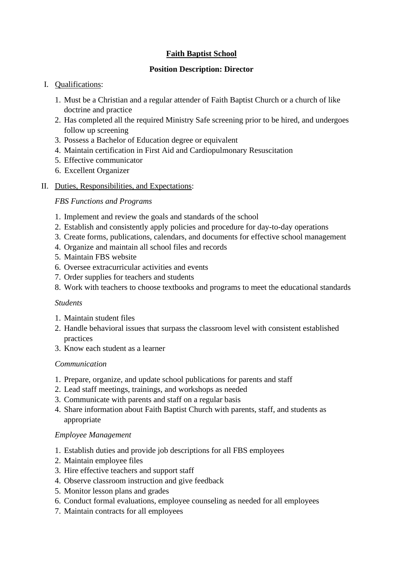# **Faith Baptist School**

### **Position Description: Director**

# I. Qualifications:

- 1. Must be a Christian and a regular attender of Faith Baptist Church or a church of like doctrine and practice
- 2. Has completed all the required Ministry Safe screening prior to be hired, and undergoes follow up screening
- 3. Possess a Bachelor of Education degree or equivalent
- 4. Maintain certification in First Aid and Cardiopulmonary Resuscitation
- 5. Effective communicator
- 6. Excellent Organizer
- II. Duties, Responsibilities, and Expectations:

*FBS Functions and Programs*

- 1. Implement and review the goals and standards of the school
- 2. Establish and consistently apply policies and procedure for day-to-day operations
- 3. Create forms, publications, calendars, and documents for effective school management
- 4. Organize and maintain all school files and records
- 5. Maintain FBS website
- 6. Oversee extracurricular activities and events
- 7. Order supplies for teachers and students
- 8. Work with teachers to choose textbooks and programs to meet the educational standards

### *Students*

- 1. Maintain student files
- 2. Handle behavioral issues that surpass the classroom level with consistent established practices
- 3. Know each student as a learner

### *Communication*

- 1. Prepare, organize, and update school publications for parents and staff
- 2. Lead staff meetings, trainings, and workshops as needed
- 3. Communicate with parents and staff on a regular basis
- 4. Share information about Faith Baptist Church with parents, staff, and students as appropriate

### *Employee Management*

- 1. Establish duties and provide job descriptions for all FBS employees
- 2. Maintain employee files
- 3. Hire effective teachers and support staff
- 4. Observe classroom instruction and give feedback
- 5. Monitor lesson plans and grades
- 6. Conduct formal evaluations, employee counseling as needed for all employees
- 7. Maintain contracts for all employees